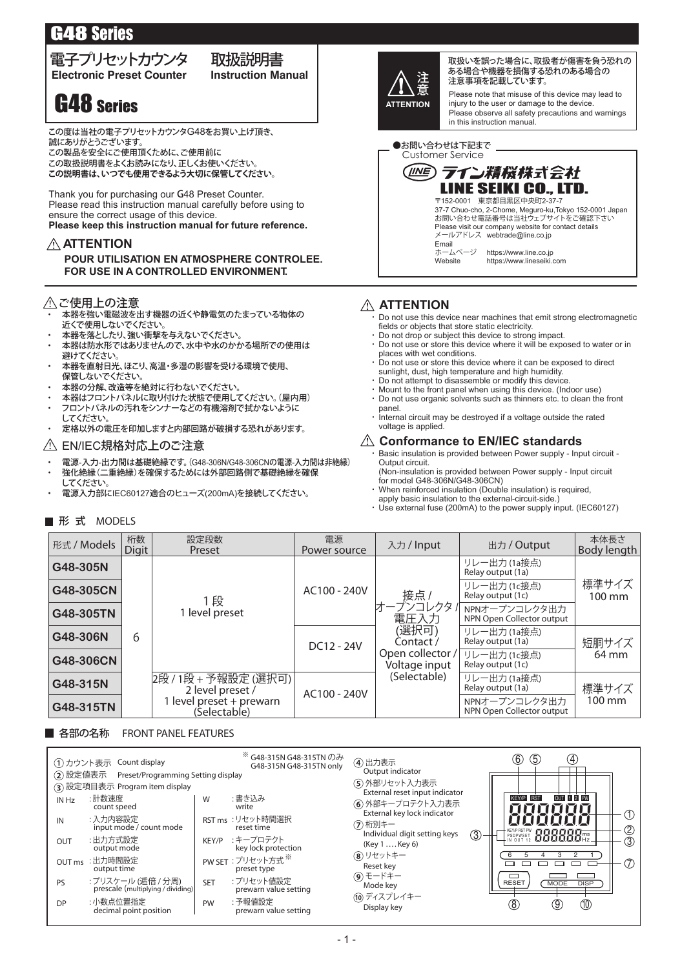# G48 Series

## **Electronic Preset Counter Instruction Manual** 電子プリセットカウンタ 取扱説明書

**G48** Series **ATTENTION** 

この度は当社の電子プリセットカウンタG48をお買い上げ頂き、 誠にありがとうございます。

この製品を安全にご使用頂くために、ご使用前に

この表品 こ ミニ にこしんばく いこつこ、コン・・・・・・・<br>この取扱説明書をよくお読みになり、正しくお使いください。

**この説明書は、いつでも使用できるよう大切に保管してください。**

Thank you for purchasing our G48 Preset Counter. Please read this instruction manual carefully before using to ensure the correct usage of this device. **Please keep this instruction manual for future reference.**

#### **ATTENTION**

 **POUR UTILISATION EN ATMOSPHERE CONTROLEE. FOR USE IN A CONTROLLED ENVIRONMENT.**

#### △ ご使用上の注意

- ・ 本器を強い電磁波を出す機器の近くや静電気のたまっている物体の 近くで使用しないでください。
- ・ 本器を落としたり、強い衝撃を与えないでください。
- ・ 本器は防水形ではありませんので、水中や水のかかる場所での使用は 避けてください。
- ・ 本器を直射日光、ほこり、高温・多湿の影響を受ける環境で使用、 保管しないでください。
- ・ 本器の分解、改造等を絶対に行わないでください。
- 本器はフロントパネルに取り付けた状態で使用してください。(屋内用)
- フロントパネルの汚れをシンナーなどの有機溶剤で拭かないように してください。
- ・ 定格以外の電圧を印加しますと内部回路が破損する恐れがあります。

#### EN/IEC規格対応上のご注意

- ・ 電源-入力-出力間は基礎絶縁です。(G48-306N/G48-306CNの電源-入力間は非絶縁)
- 強化絶縁(二重絶縁)を確保するためには外部回路側で基礎絶縁を確保
- してください。 電源入力部にIEC60127適合のヒューズ(200mA)を接続してください。

#### 形 式 MODELS



取扱いを誤った場合に、取扱者が傷害を負う恐れの ある場合や機器を損傷する恐れのある場合の 注意事項を記載しています。

Please note that misuse of this device may lead to injury to the user or damage to the device. Please observe all safety precautions and warnings in this instruction manual.

Customer Service ●お問い合わせは下記まで



#### **ATTENTION**

Do not use this device near machines that emit strong electromagnetic fields or objects that store static electricity.

- Do not drop or subject this device to strong impact.
- Do not use or store this device where it will be exposed to water or in places with wet conditions.
- ・ Do not use or store this device where it can be exposed to direct sunlight, dust, high temperature and high humidity.
- ・ Do not attempt to disassemble or modify this device.
- ・ Mount to the front panel when using this device. (Indoor use) ・ Do not use organic solvents such as thinners etc. to clean the front
- panel. ・ Internal circuit may be destroyed if a voltage outside the rated voltage is applied.

### **Conformance to EN/IEC standards**

Basic insulation is provided between Power supply - Input circuit -Output circuit.

(Non-insulation is provided between Power supply - Input circuit for model G48-306N/G48-306CN)

- When reinforced insulation (Double insulation) is required, apply basic insulation to the external-circuit-side.)
- ・ Use external fuse (200mA) to the power supply input. (IEC60127)

| 形式 / Models | 桁数<br><b>Digit</b>                       | 設定段数<br>Preset                             | 電源<br>Power source                | 入力 / Input                                           | 出力 / Output                                | 本体長さ<br>Body length       |  |
|-------------|------------------------------------------|--------------------------------------------|-----------------------------------|------------------------------------------------------|--------------------------------------------|---------------------------|--|
| G48-305N    |                                          |                                            |                                   |                                                      | リレー出力 (1a接点)<br>Relay output (1a)          |                           |  |
| G48-305CN   |                                          | 1段                                         | AC100 - 240V                      | 接点/                                                  | リレー出力 (1c接点)<br>Relay output (1c)          | 標準サイズ<br>$100 \text{ mm}$ |  |
| G48-305TN   |                                          | 1 level preset                             |                                   | <sup>-</sup> ープンコレクタ /<br>電圧入力<br>(選択可)<br>Contact / | NPNオープンコレクタ出力<br>NPN Open Collector output |                           |  |
| G48-306N    | 6                                        |                                            | DC12 - 24V                        |                                                      | リレー出力 (1a接点)<br>Relay output (1a)          | 短胴サイズ                     |  |
| G48-306CN   |                                          |                                            | Open collector /<br>Voltage input |                                                      | リレー出力 (1c接点)<br>Relay output (1c)          | 64 mm                     |  |
| G48-315N    |                                          | 2段 / 1段 + 予報設定 (選択可)  <br>2 level preset / | AC100 - 240V                      | (Selectable)                                         | リレー出力 (1a接点)<br>Relay output (1a)          | 標準サイズ                     |  |
| G48-315TN   | 1 level preset + prewarn<br>(Selectable) |                                            |                                   |                                                      | NPNオープンコレクタ出力<br>NPN Open Collector output | 100 mm                    |  |

#### FRONT PANEL FEATURES ■ 各部の名称

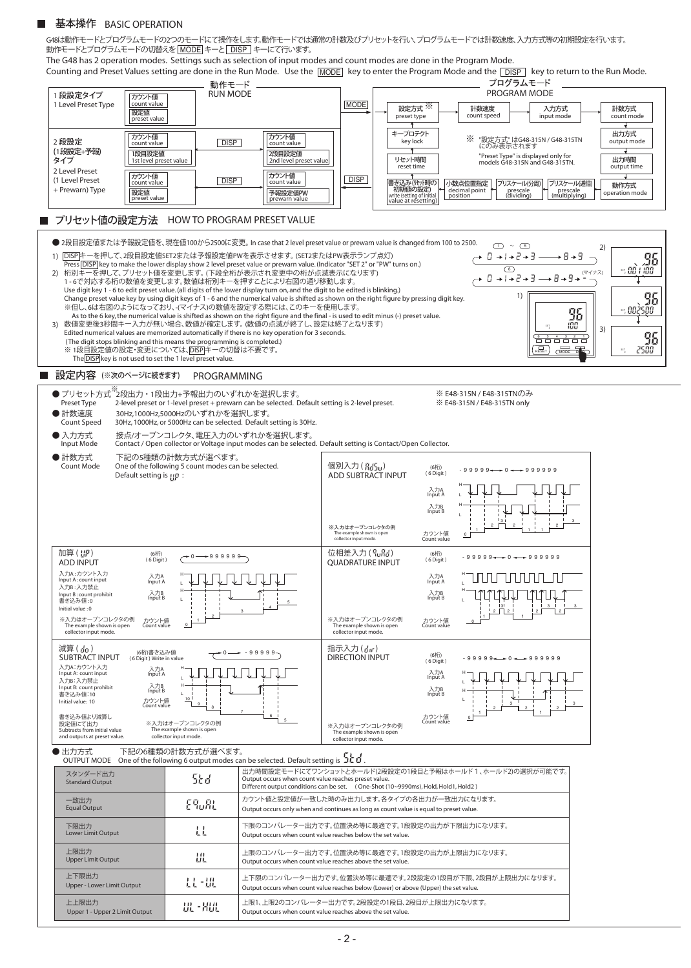#### 基本操作 BASIC OPERATION

動作モードとプログラムモードの切替えを |MODE| キーと| DISP | キーにて行います。 G48は動作モードとプログラムモードの2つのモードにて操作をします。動作モードでは通常の計数及びプリセットを行い、プログラムモードでは計数速度、入力方式等の初期設定を行います。

The G48 has 2 operation modes. Settings such as selection of input modes and count modes are done in the Program Mode.

Counting and Preset Values setting are done in the Run Mode. Use the  $\boxed{\text{MODE}}$  key to enter the Program Mode and the  $\boxed{\text{DISP}}$  key to return to the Run Mode. プログラムモード 動作モード RUN MODE PROGRAM MODE 1 段設定タイプ カウント値 1 Level Preset Type count value 設定方式 計数速度 入力方式 計数方式 MODE ※ count mode ■計数速度 入力方式<br>count speed input mode 設定値 preset type .<br>value キープロテクト 出力方式 count value カウント値 count value カウント値 key lock ※ "設定方式" はG48-315N / G48-315TN にのみ表示されます 2 段設定 DISP<sup>1</sup> utput mode (1 段設定+予報) 1st level preset value 1段目設定値 2段目設定値 "Preset Type" is displayed only for models G48-315N and G48-315TN. タイプ リセット時間 出力時間 2nd level preset value er<br>Et time output time 2 Level Preset カウント値 カウント値 DISP<sup>1</sup> DISP<sup>1</sup> (1 Level Preset count value | DISP | count value 書き込み (ルット時の)<br>- 初期値の設定) 小数点位置指定 | フリスケール(分周) | フリスケール(逓倍) | 動作方式 + Prewarn) Type ——<br>設定値<br>preset value decimal point<br>position decimal point **the prescale contained** prescale position prewarn value 設定値 予報設定値PW operation mode write (setting of initial value at resetting) プリセット値の設定方法 HOW TO PROGRAM PRESET VALUE ● 2段目設定値または予報設定値を、現在値100から2500に変更。 In case that 2 level preset value or prewarn value is changed from 100 to 2500.  $\bigoplus$  ~ 5 2) 1)  $\overline{DISP}$   $\uparrow$ ーを押して、2段目設定値SET2または予報設定値PWを表示させます。 (SET2またはPW表示ランプ点灯) , 95 Press <u>[DISP]</u> key to make the lower display show 2 level preset value or prewarn value. (Indicator "SET 2" or "PW" turns on.)<br>2) 桁別キーを押して、プリセット値を変更します。(下段全桁が表示され変更中の桁が点滅表示になります)<br>1 - 6で対応する桁の数値を変更します。数値は桁別キーを押すことにより右図の通り 0 → I → 2 → 3 → 8 → 9 → 7 → 7 Use digit key 1 - 6 to edit preset value. (all digits of the lower display turn on, and the digit to be edited is blinking.) 1) 95 Change preset value key by using digit keys of 1 - 6 and the numerical value is shifted as shown on the right figure by pressing digit key.<br>※但し、6は右図のようになっており、-(マイナス)の数値を設定する際には、このキーを使用します。 95 As to the 6 key, the numerical value is shifted as shown on the right figure and the final - is used to edit minus (-) preset value. 数値変更後3秒間キー入力が無い場合、数値が確定します。 (数値の点滅が終了し、設定は終了となります) 3) Edited numerical values are memorized automatically if there is no key operation for 3 seconds.  $\frac{35}{2}$   $\frac{100}{2}$  3) 95 <u>6 5 4 3 2 1</u> (The digit stops blinking and this means the programming is completed.)  $\sqrt{\frac{2}{MOD}}$ ※ 1段目設定値の設定・変更については、<u>DISP</u>|キーの切替は不要です。<br>The <mark>DISP</mark>|key is not used to set the 1 level preset value. S E T 設定内容 (※次のページに続きます) PROGRAMMING  $\bullet$  プリセット方式 $\overset{\text{\tiny $\text{X$}}}{\sim}$ 段出力・1段出力+予報出力のいずれかを選択します。 ※ E48-315N / E48-315TNのみ Preset Type 2-level preset or 1-level preset + prewarn can be selected. Default setting is 2-level preset. ※ E48-315N / E48-315TN only ● 計数速度 30Hz,1000Hz,5000Hzのいずれかを選択します。 Count Speed 30Hz, 1000Hz, or 5000Hz can be selected. Default setting is 30Hz. ● 入力方式 接点/オープンコレクタ、電圧入力のいずれかを選択します。 Input Mode Contact / Open collector or Voltage input modes can be selected. Default setting is Contact/Open Collector. 下記の5種類の計数方式が選べます。 ● 計数方式 個別入力( ) Count Mode One of the following 5 count modes can be selected. 1回別人刀 ( 出当 <sub>0</sub>0) (6桁) - 9 9 9 9 <del>4 = +</del> 0 <del>4 = +</del> 9 9 9 9 9 9<br>ADD SUBTRACT INPUT <sup>(6 Digit)</sup> (6桁)<br>( 6 Digit ) Default setting is : 0 : H 入力A<br>Input A L H 入力B<br>Input B L 3 3  $\frac{1}{1}$  1  $\frac{1}{2}$  1  $\frac{1}{2}$  1  $\frac{1}{2}$  1  $\frac{1}{2}$  1  $\frac{1}{2}$  1  $\frac{1}{2}$ 2 ※入力はオープンコレクタの例<br>The example shown is open カウント値<br>collector input mode. Count value カウント値<br>Count value QUADRATURE INPUT - <sup>99999</sup> <sup>0</sup> <sup>999999</sup> 0 999999 加算 ( ) 位相差入力 ( ) (6桁)<br>( 6 Digit ) (6桁)<br>( 6 Digit ) ADD INPUT 入力A : カウント入力<br>Input A : count input H <u>uun muun n</u> H **FLITITITI** 入力A<br>Input A Input A 入力A mput A . count in<br>入力B : 入力禁止 L L **LILILILLI** H H TMA N Input B : count prohibit 書き込み値 : 0 入力B<br>Input B 入力B<br>Input B L L 5 Initial value : 0 3 3 3  $\frac{1}{3}$   $\frac{1}{2}$ 2 2 2 2  $+$ <sup>2</sup> 1 1 1 ※入力はオープンコレクタの例 Count value カウント値 ※入力はオープンコレクタの例 Count value カウント値  $\mathsf{C}$ The example shown is open collector input mode. 0 The example shown is open collector input mode. 0 - 99999 減算 ( ) 指示入力 ( ) (6桁)書き込み値<br>(6 Digit ) Write in value SUBTRACT INPUT  $DIRECTION INPUT$   $(6\frac{1}{10})$  99999 + 0 + 9999999 (6桁)<br>( 6 Digit ) Input A: count input 入力A:カウント入力 H 入力A<br>Input A Input A 入力A H titi L 入力B:入力禁止<br>Input B: count prohibit L H 入力B<br>Input B 入力B<br>Input B H 書き込み値:10 L Initial value: 10 10 L Count value カウント値  $\overset{\scriptscriptstyle9}{\--}$  8 3 3 2 2 2 2  $\overline{\ }$  6  $1$   $\overline{\phantom{1}}$  1 書き込み値より減算し Count value カウント値 0 設定値にて出力<br>Subtracts from initial value ※入力はオープンコレクタの例 ペンパック ファンコレクメッカック インプロセクタの例 インディング (※入力はオープンコレクタの例<br>The example shown is open formation of the example shown is open The example shown is open collector input mode. and outputs at preset value. collector input mode. ● 出力方式 下記の6種類の計数方式が選べます。 OUTPUT MODE One of the following 6 output modes can be selected. Default setting is . スタンダード出力 インショット・コンピュート 出力時間設定モードにてワンショットとホールド(2段設定の1段目と予報はホールド1、ホールド2)の選択が可能です。<br>Standard Outout コロコロコロコロコロコロコ Output occurs when count value reaches preset value.<br>|Different output conditions can be set. (One-Shot (10~9990ms), Hold, Hold1, Hold2 ) カウント値と設定値が一致した時のみ出力します。各タイプの各出力が一致出力になります。 一致出力 E9..RL Equal Output Output occurs only when and continues as long as count value is equal to preset value. 下限のコンパレーター出力です。位置決め等に最適です。1段設定の出力が下限出力になります。 Lower Limit Output 下限出力 且 Output occurs when count value reaches below the set value. 上限のコンパレーター出力です。位置決め等に最適です。1段設定の出力が上限出力になります。 上限出力 扭 Upper Limit Output Output occurs when count value reaches above the set value. 上下限出力 上下限のコンパレーター出力です。位置決め等に最適です。2段設定の1段目が下限、2段目が上限出力になります。 昆虫 Upper - Lower Limit Output Output occurs when count value reaches below (Lower) or above (Upper) the set value. 上上限出力 上限1、上限2のコンパレーター出力です。2段設定の1段目、2段目が上限出力になります。 UL-800 Upper 1 - Upper 2 Limit Output Output occurs when count value reaches above the set value.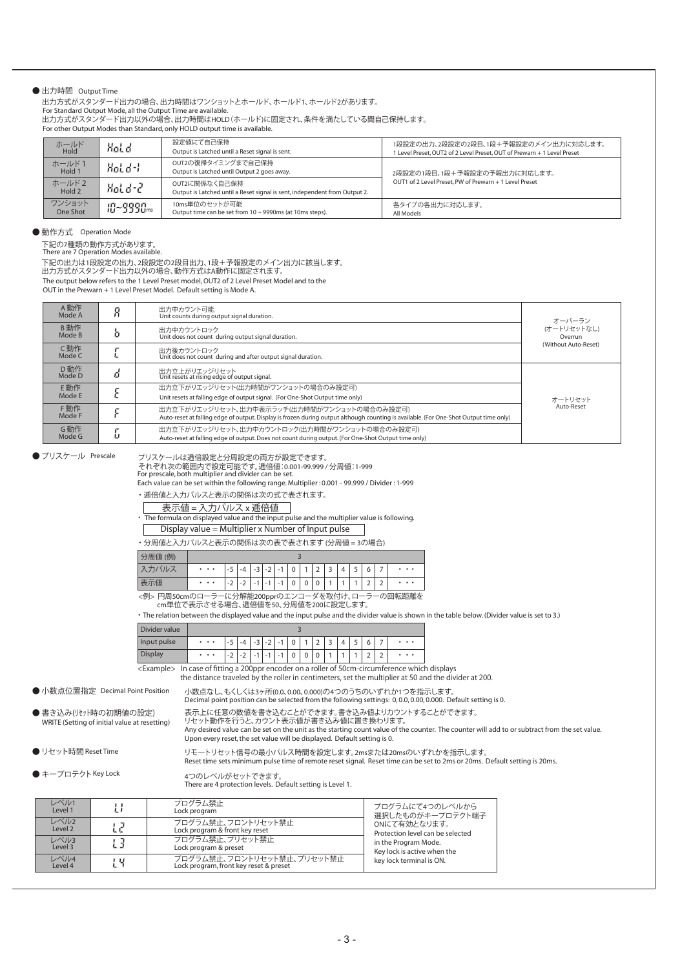#### ● 出力時間 Output Time

出力方式がスタンダード出力の場合、出力時間はワンショットとホールド、ホールド1、ホールド2があります。

For Standard Output Mode, all the Output Time are available.

出力方式がスタンダード出力以外の場合、出力時間はHOLD(ホールド)に固定され、条件を満たしている間自己保持します。

For other Output Modes than Standard, only HOLD output time is available.

| ホールド<br>Hold       | Hold      | 設定値にて自己保持<br>Output is Latched until a Reset signal is sent.                                | 1段設定の出力、2段設定の2段目、1段+予報設定のメイン出力に対応します。<br>1 Level Preset, OUT2 of 2 Level Preset, OUT of Prewarn + 1 Level Preset |  |  |  |
|--------------------|-----------|---------------------------------------------------------------------------------------------|------------------------------------------------------------------------------------------------------------------|--|--|--|
| ホールド1<br>Hold 1    | Hold-L    | OUT2の復帰タイミングまで自己保持<br>Output is Latched until Output 2 goes away.                           | 2段設定の1段目、1段+予報設定の予報出力に対応します。                                                                                     |  |  |  |
| ホールド2<br>Hold 2    | Hold-2    | OUT2に関係なく自己保持<br>Output is Latched until a Reset signal is sent, independent from Output 2. | OUT1 of 2 Level Preset, PW of Prewarn + 1 Level Preset                                                           |  |  |  |
| ワンショット<br>One Shot | 10~9990ms | 10ms単位のセットが可能<br>Output time can be set from $10 \sim 9990$ ms (at 10ms steps).             | 各タイプの各出力に対応します。<br>All Models                                                                                    |  |  |  |

● 動作方式 Operation Mode

下記の7種類の動作方式があります。<br>There are 7 Operation Modes available.

The output below refers to the 1 Level Preset model, OUT2 of 2 Level Preset Model and to the 下記の出力は1段設定の出力、2段設定の2段目出力、1段+予報設定のメイン出力に該当します。 出力方式がスタンダード出力以外の場合、動作方式はA動作に固定されます。

OUT in the Prewarn + 1 Level Preset Model. Default setting is Mode A.

| A動作<br>Mode A |                                                                                                                                                                                      | 出力中カウント可能<br>Unit counts during output signal duration.                                                                                              | オーバーラン                 |  |
|---------------|--------------------------------------------------------------------------------------------------------------------------------------------------------------------------------------|------------------------------------------------------------------------------------------------------------------------------------------------------|------------------------|--|
| B動作<br>Mode B |                                                                                                                                                                                      | 出力中カウントロック<br>Unit does not count during output signal duration.                                                                                     | (オートリセットなし)<br>Overrun |  |
| C動作<br>Mode C |                                                                                                                                                                                      | 出力後カウントロック<br>Unit does not count during and after output signal duration.                                                                           | (Without Auto-Reset)   |  |
| D動作<br>Mode D |                                                                                                                                                                                      | 出力立上がりエッジリセット<br>Unit resets at rising edge of output signal.                                                                                        |                        |  |
| E動作           |                                                                                                                                                                                      | 出力立下がりエッジリセット(出力時間がワンショットの場合のみ設定可)                                                                                                                   |                        |  |
| Mode E        |                                                                                                                                                                                      | Unit resets at falling edge of output signal. (For One-Shot Output time only)                                                                        | オートリヤット                |  |
| F動作<br>Mode F | 出力立下がりエッジリセット、出力中表示ラッチ(出力時間がワンショットの場合のみ設定可)<br>Auto-reset at falling edge of output. Display is frozen during output although counting is available. (For One-Shot Output time only) |                                                                                                                                                      | Auto-Reset             |  |
| G動作<br>Mode G | ы                                                                                                                                                                                    | 出力立下がりエッジリセット、出力中カウントロック(出力時間がワンショットの場合のみ設定可)<br>Auto-reset at falling edge of output. Does not count during output. (For One-Shot Output time only) |                        |  |

● プリスケール Prescale

プリスケールは逓倍設定と分周設定の両方が設定できます。

それぞれ次の範囲内で設定可能です。逓倍値:0.001-99.999 / 分周値:1-999<br>For prescale, both multiplier and divider can be set.

Each value can be set within the following range. Multiplier : 0.001 - 99.999 / Divider : 1-999

・ 逓倍値と入力パルスと表示の関係は次の式で表されます。

表示値 = 入力パルス x 逓倍値

・ The formula on displayed value and the input pulse and the multiplier value is following.

Display value = Multiplier x Number of Input pulse

・ 分周値と入力パルスと表示の関係は次の表で表されます (分周値 = 3の場合)

| 分周値 (例) |          |                                                           |                                      |                          |                                         |                                                      |             |                |               |                               |   |                     |   |   |          |
|---------|----------|-----------------------------------------------------------|--------------------------------------|--------------------------|-----------------------------------------|------------------------------------------------------|-------------|----------------|---------------|-------------------------------|---|---------------------|---|---|----------|
| カパルス    | $\cdots$ | $\overline{ }$<br>-<br>◡                                  | $-\Delta$                            | $-3$<br>◡                | $\sim$<br>$\overline{\phantom{a}}$<br>▵ | $\overline{\phantom{a}}$<br>$\overline{\phantom{a}}$ | $\sim$<br>v | $\overline{a}$ | $\sim$        | $\overline{\phantom{0}}$<br>ے |   | $\overline{ }$<br>ے | 6 |   | $\cdots$ |
| 데트      | $\cdots$ | $\overline{\phantom{0}}$<br>$\overline{\phantom{a}}$<br>∼ | $\overline{\phantom{0}}$<br>- 1<br>∸ | $\overline{\phantom{0}}$ | $\sim$                                  | -                                                    | υ           | ◡              | $\Omega$<br>U |                               | ۰ |                     | ▵ | ∠ | $\cdots$ |

<例> 円周50cmのローラーに分解能200pprのエンコーダを取付け、ローラーの回転距離を cm単位で表示させる場合、逓倍値を50、分周値を200に設定します。

・ The relation between the displayed value and the input pulse and the divider value is shown in the table below. (Divider value is set to 3.)

| Divider value  |          |                                                 |  |  |        |                |        |  |                          |                          |  |   |   |          |
|----------------|----------|-------------------------------------------------|--|--|--------|----------------|--------|--|--------------------------|--------------------------|--|---|---|----------|
| Input pulse    | $\cdots$ | $\overline{a}$<br>$\overline{\phantom{a}}$<br>ر |  |  | $\sim$ | $\overline{a}$ | $\sim$ |  | $\overline{\phantom{a}}$ | $\overline{\phantom{0}}$ |  | 6 |   | $\cdots$ |
| <b>Display</b> | $\cdots$ | $\overline{\phantom{0}}$<br>∸                   |  |  |        |                | U      |  |                          |                          |  | ∠ | ∠ | $\cdots$ |

<Example> In case of fitting a 200ppr encoder on a roller of 50cm-circumference which displays the distance traveled by the roller in centimeters, set the multiplier at 50 and the divider at 200.

● 小数点位置指定 Decimal Point Position

● 小数点位置指定 Decimal Point Position 小数点なし、もくしくは3ヶ所(0.0, 0.00, 0.000)の4つのうちのいずれか1つを指示します。<br>Decimal point position can be selected from the following settings: 0,0.0,0.00,0.000. Default setting is 0.

WRITE (Setting of initial value at resetting)

● リセット時間 Reset Time

●キープロテクトKey Lock

Any desired value can be set on the unit as the starting count value of the counter. The counter will add to or subtract from the set value. Upon every reset, the set value will be displayed. Default setting is 0. ● 書き込み(リセット時の初期値の設定) 表示上に任意の数値を書き込むことができます。書き込み値よりカウントすることができます。<br>- WRITE (Setting of initial value at resetting) リセット動作を行うと、カウント表示値が書き込み値に置き換わります。 Reset time sets minimum pulse time of remote reset signal. Reset time can be set to 2ms or 20ms. Default setting is 20ms. リモートリセット信号の最小パルス時間を設定します。2msまたは20msのいずれかを指示します。 There are 4 protection levels. Default setting is Level 1. 4つのレベルがセットできます。

> Protection level can be selected in the Program Mode. Key lock is active when the key lock terminal is ON.

プログラムにて4つのレベルから 選択したものがキープロテクト端子 ONにて有効となります。

| レベル1<br>Level 1 |     | プログラム禁止<br>Lock program                                              |
|-----------------|-----|----------------------------------------------------------------------|
| レベル2<br>Level 2 |     | プログラム禁止、フロントリセット禁止<br>Lock program & front key reset                 |
| レベル3<br>Level 3 |     | プログラム禁止、プリセット禁止<br>Lock program & preset                             |
| レベル4<br>Level 4 | ! 보 | プログラム禁止、フロントリセット禁止、プリセット禁止<br>Lock program, front key reset & preset |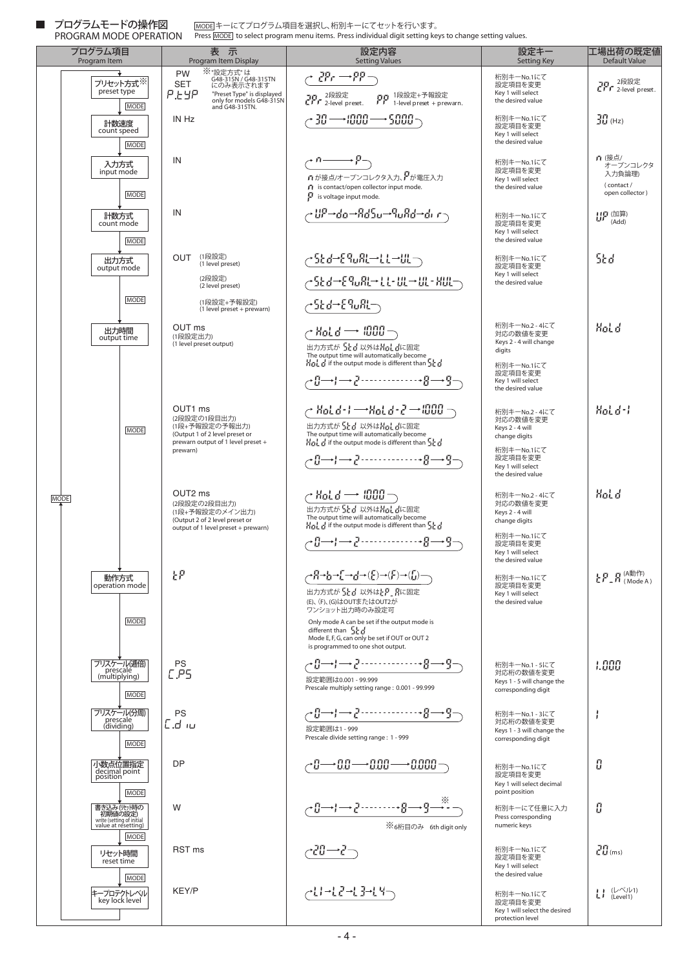PROGRAM MODE OPERATION プログラムモードの操作図

キーにてプログラム項目を選択し、桁別キーにてセットを行います。 <u>|MODE</u>|キーにてブログラム項目を選択し、桁別キーにてセットを行います。<br>Press <u>[MODE]</u> to select program menu items. Press individual digit setting keys to change setting values.

|             | プログラム項目<br>Program Item                                                                   | 表示<br>Program Item Display                                                                                                                                    | 設定内容<br><b>Setting Values</b>                                                                                                                                                                                                                                                                                                                                                                                                                                                                        | 設定キー<br><b>Setting Key</b>                                                                                                        | 工場出荷の既定値<br>Default Value                                                                                      |
|-------------|-------------------------------------------------------------------------------------------|---------------------------------------------------------------------------------------------------------------------------------------------------------------|------------------------------------------------------------------------------------------------------------------------------------------------------------------------------------------------------------------------------------------------------------------------------------------------------------------------------------------------------------------------------------------------------------------------------------------------------------------------------------------------------|-----------------------------------------------------------------------------------------------------------------------------------|----------------------------------------------------------------------------------------------------------------|
|             | プリセット方式※<br>preset type<br><b>MODE</b>                                                    | ※ "設定方式" は<br>G48-315N/G48-315TN<br>にのみ表示されます<br>PW<br><b>SET</b><br><b>P.EYP</b><br>"Preset Type" is displayed<br>only for models G48-315N<br>and G48-315TN. | $\sub{P}{r} \rightarrow P P \rightarrow$<br>っこ 2段設定 - ここ 1段設定+予報設定<br>こしし 2-level preset. しし 1-level preset + prewarn.                                                                                                                                                                                                                                                                                                                                                                               | 桁別キーNo.1にて<br>設定項目を変更<br>Key 1 will select<br>the desired value                                                                   | 70 - <sup>2段設定</sup><br>CLL 2-level preset.                                                                    |
|             | 計数速度<br>count speed<br><b>MODE</b>                                                        | IN Hz                                                                                                                                                         | $\gamma$ 30 $\longrightarrow$ 1000 $\longrightarrow$ 5000 $\gamma$                                                                                                                                                                                                                                                                                                                                                                                                                                   | 桁別キーNo.1にて<br>設定項目を変更<br>Key 1 will select<br>the desired value                                                                   | $\frac{717}{211}$ (Hz)                                                                                         |
|             | 入力方式<br>input mode<br><b>MODE</b>                                                         | IN                                                                                                                                                            | $\overline{C_0 \longrightarrow B_0}$<br>♪が接点/オープンコレクタ入力、アが電圧入力<br>is contact/open collector input mode.<br>is voltage input mode.                                                                                                                                                                                                                                                                                                                                                                    | 桁別キーNo.1にて<br>設定項目を変更<br>Key 1 will select<br>the desired value                                                                   | n (接点/<br>オープンコレクタ<br>入力負論理)<br>(contact/<br>open collector)                                                   |
|             | 計数方式<br>count mode<br><b>MODE</b>                                                         | IN                                                                                                                                                            | ᢞ᠊ᡌᢪᢇᠯᠣᢇᡏᠯᠯᡱᡆᢇᠲᡆᡏᠯ <del>ᡆᢇ</del> ᡀ᠈᠊                                                                                                                                                                                                                                                                                                                                                                                                                                                                 | 桁別キーNo.1にて<br>設定項目を変更<br>Key 1 will select<br>the desired value                                                                   | HP (加算)<br>(Add)                                                                                               |
|             | 出力方式<br>output mode<br><b>MODE</b>                                                        | (1段設定)<br><b>OUT</b><br>(1 level preset)<br>(2段設定)<br>(2 level preset)<br>(1段設定+予報設定)<br>(1 level preset + prewarn)                                           | <mark>╭SEd→E9wRL→LL→UL</mark> ¬<br>~SEd→E9wRL→LL+UL→UL+KUL→<br>~ዄ₫→£‰ℝ∽                                                                                                                                                                                                                                                                                                                                                                                                                              | 桁別キーNo.1にて<br>設定項目を変更<br>Key 1 will select<br>the desired value                                                                   | 5Ed                                                                                                            |
|             | 出力時間<br>output time                                                                       | OUT ms<br>(1段設定出力)<br>(1 level preset output)                                                                                                                 | $\sim$ Mot d $\rightarrow$ 1000 $\neg$<br>出力方式が「まま 以外は苦毒 書に固定<br>The output time will automatically become<br>$H_{\Omega}$ , $f$ if the output mode is different than $\frac{1}{2}f$                                                                                                                                                                                                                                                                                                                 | 桁別キーNo.2 - 4にて<br>対応の数値を変更<br>Keys 2 - 4 will change<br>digits<br>桁別キーNo.1にて<br>設定項目を変更<br>Key 1 will select<br>the desired value | Hol d                                                                                                          |
|             | <b>MODE</b>                                                                               | OUT1 ms<br>(2段設定の1段目出力)<br>(1段+予報設定の予報出力)<br>(Output 1 of 2 level preset or<br>prewarn output of 1 level preset +<br>prewarn)                                 | y Hold-F⇒Hold-2→000 →<br>The output time will automatically become<br>$\frac{1}{10}$ of if the output mode is different than $\frac{1}{2}$ of<br>┌{}------------------{{--}}                                                                                                                                                                                                                                                                                                                         | 桁別キーNo.2 - 4にて<br>対応の数値を変更<br>Keys 2 - 4 will<br>change digits<br>桁別キーNo.1にて<br>設定項目を変更<br>Key 1 will select<br>the desired value | $Hod-d-1$                                                                                                      |
| <b>MODE</b> |                                                                                           | OUT <sub>2</sub> ms<br>(2段設定の2段目出力)<br>(1段+予報設定のメイン出力)<br>(Output 2 of 2 level preset or<br>output of 1 level preset + prewarn)                               | $\sim$ Mot $d \rightarrow 0000$ $\rightarrow$<br>出力方式が「よけ 以外は片計 かに固定<br>The output time will automatically become<br>$\frac{11}{11}$ $\frac{1}{11}$ if the output mode is different than $\frac{11}{11}$ $\frac{1}{11}$<br>$\rightarrow \mathbb{S} \longrightarrow \mathbb{S} \longrightarrow \mathbb{S} \longrightarrow \mathbb{S} \longrightarrow \mathbb{S} \longrightarrow \mathbb{S} \longrightarrow \mathbb{S}$                                                                                | 桁別キーNo.2 - 4にて<br>対応の数値を変更<br>Keys 2 - 4 will<br>change digits<br>桁別キーNo.1にて<br>設定項目を変更<br>Key 1 will select<br>the desired value | HoL d                                                                                                          |
|             | 動作方式<br>operation mode<br><b>MODE</b>                                                     | ξP                                                                                                                                                            | $\rightarrow \stackrel{P}{H} \rightarrow \stackrel{P}{H} \rightarrow \stackrel{P}{H} \rightarrow \stackrel{P}{H} \rightarrow (\stackrel{P}{H} \rightarrow (\stackrel{P}{H} \rightarrow \rightarrow (\stackrel{P}{H}) \rightarrow (\stackrel{P}{H}) \rightarrow \cdots$<br>出力方式が「上」以外は上ア「月に固定<br>(E)、(F)、(G)はOUTまたはOUT2が<br>ワンショット出力時のみ設定可<br>Only mode A can be set if the output mode is<br>different than 55<br>Mode E, F, G, can only be set if OUT or OUT 2<br>is programmed to one shot output. | 桁別キーNo.1にて<br>設定項目を変更<br>Key 1 will select<br>the desired value                                                                   | ! ローロ (A動作)<br>ヒアニロ (Mode A)                                                                                   |
|             | プリスケール(逓倍)<br>prescale<br>(multiplying)<br><b>MODE</b>                                    | PS<br>E.PS                                                                                                                                                    | ~9←9→1→2→-------------8→9→<br>設定範囲は0.001 - 99.999<br>Prescale multiply setting range: 0.001 - 99.999                                                                                                                                                                                                                                                                                                                                                                                                 | 桁別キーNo.1 - 5にて<br>対応桁の数値を変更<br>Keys 1 - 5 will change the<br>corresponding digit                                                  | 1.000                                                                                                          |
|             | プリスケール(分周)<br>prescale<br>(dividing)<br><b>MODE</b>                                       | PS<br>C.d iu                                                                                                                                                  | 設定範囲は1 - 999<br>Prescale divide setting range: 1 - 999                                                                                                                                                                                                                                                                                                                                                                                                                                               | 桁別キーNo.1 - 3にて<br>対応桁の数値を変更<br>Keys 1 - 3 will change the<br>corresponding digit                                                  |                                                                                                                |
|             | 小数点位置指定<br>decimal point<br>position<br><b>MODE</b>                                       | <b>DP</b>                                                                                                                                                     | $\cdot$ 0 $\longrightarrow$ 0.0 $\longrightarrow$ 0.00 $\longrightarrow$ 0.000 –                                                                                                                                                                                                                                                                                                                                                                                                                     | 桁別キーNo.1にて<br>設定項目を変更<br>Key 1 will select decimal<br>point position                                                              | Л                                                                                                              |
|             | 書き込み(リセット時の<br>初期値の設定)<br>write (setting of initial<br>value at resetting)<br><b>MODE</b> | W                                                                                                                                                             | -- <del>^−</del> { ---------} <del>-</del> -{ --{ -<br>※6桁目のみ 6th digit only                                                                                                                                                                                                                                                                                                                                                                                                                         | 桁別キーにて任意に入力<br>Press corresponding<br>numeric keys                                                                                | Л                                                                                                              |
|             | リセット時間<br>reset time<br><b>MODE</b>                                                       | RST <sub>ms</sub>                                                                                                                                             | •20→2-                                                                                                                                                                                                                                                                                                                                                                                                                                                                                               | 桁別キーNo.1にて<br>設定項目を変更<br>Key 1 will select<br>the desired value                                                                   | 20 <sub>(ms)</sub>                                                                                             |
|             | キープロテクトレベル<br>key lock level                                                              | <b>KEY/P</b>                                                                                                                                                  | ┌┝╏╀╾┇┋┵┇╙┑                                                                                                                                                                                                                                                                                                                                                                                                                                                                                          | 桁別キーNo.1にて<br>設定項目を変更<br>Key 1 will select the desired<br>protection level                                                        | $\prod_{i=1}^n\frac{(\mathcal{L}\vec{\wedge}\vec{j}\mathcal{L}1)}{(\mathcal{L}\text{arct}^{(n)})}$<br>(Level1) |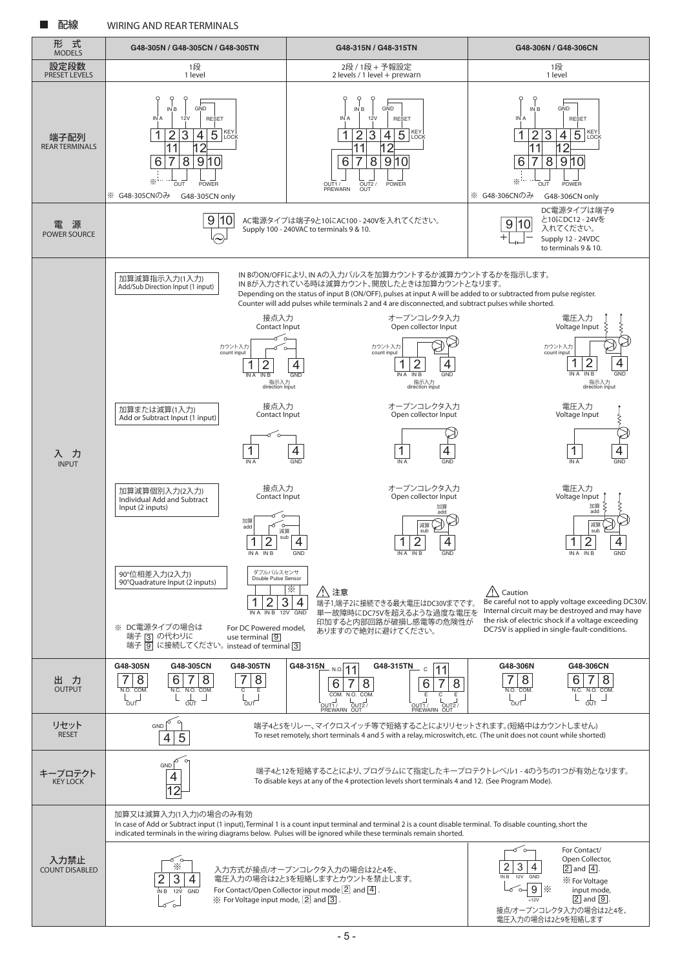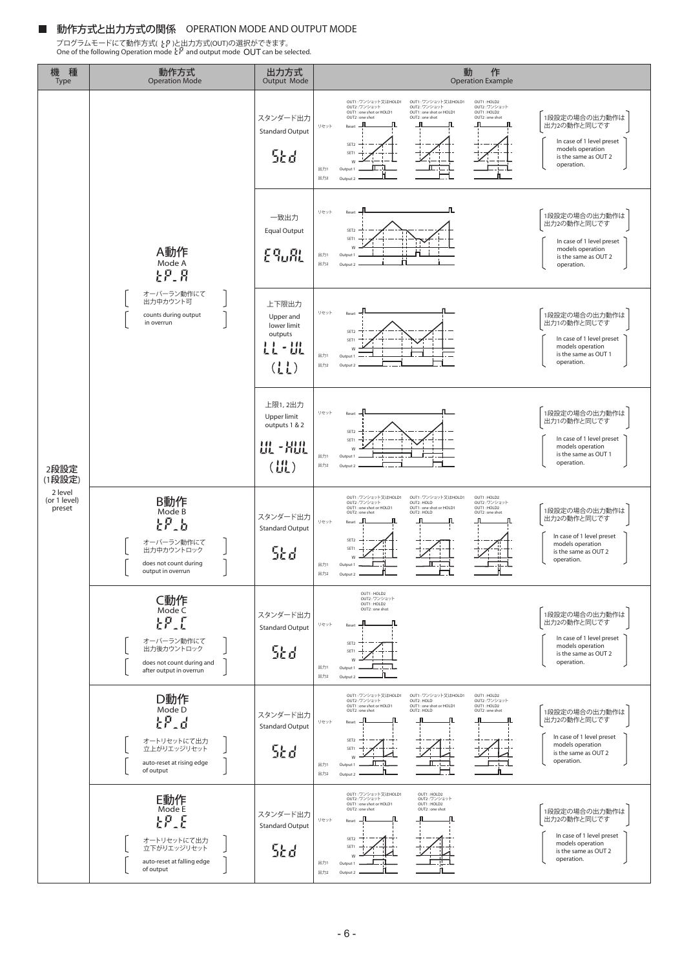#### 動作方式と出力方式の関係 OPERATION MODE AND OUTPUT MODE

プログラムモードにて動作方式( † ド )と出力方式(OUT)の選択ができます。<br>One of the following Operation mode と『 and output mode **OUT** can be selected.

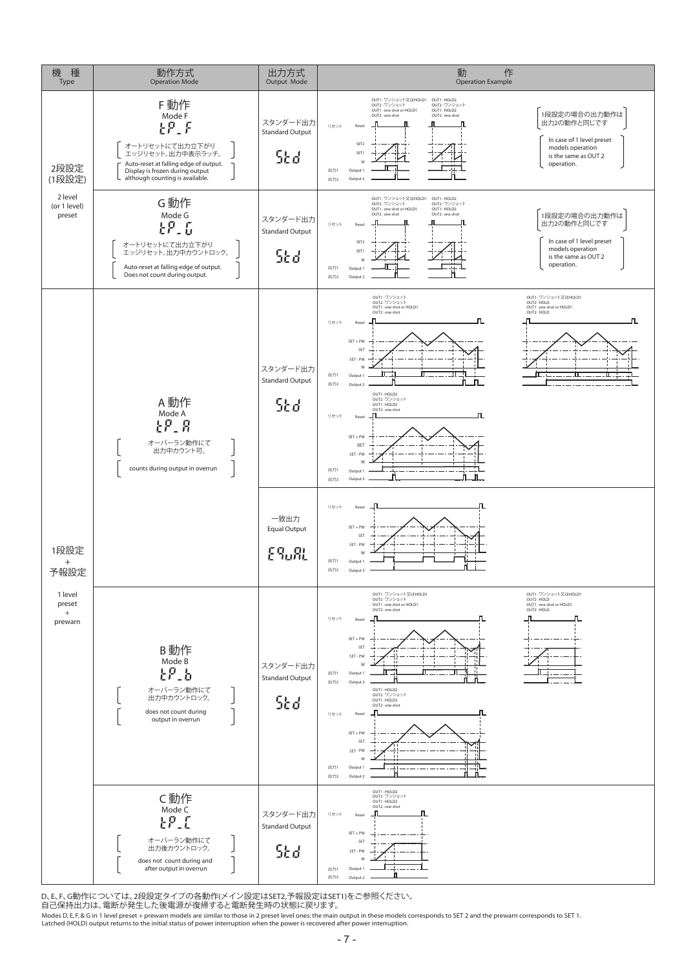

D、E、F、G動作については、2段設定タイプの各動作(メイン設定はSET2,予報設定はSET1)をご参照ください。

自己保持出力は、電断が発生した後電源が復帰すると電断発生時の状態に戻ります。

Modes D, E, F, & G in 1 level preset + prewarn models are similar to those in 2 preset level ones: the main output in these models corresponds to SET 2 and the prewarn corresponds to SET 1.<br>Latched (HOLD) output returns to